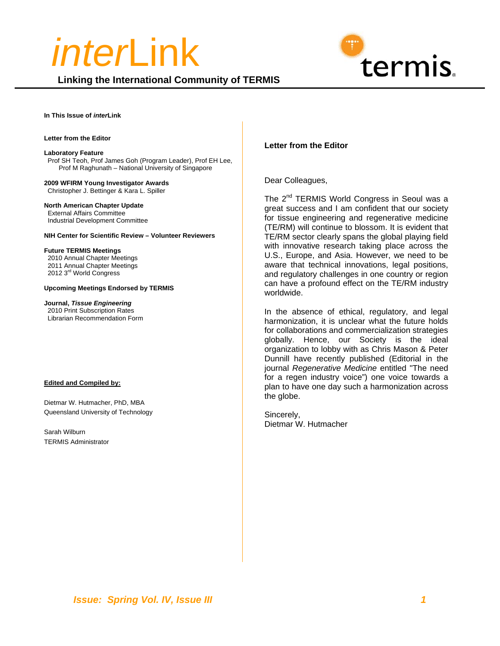**Linking the International Community of TERMIS**



**In This Issue of** *inter***Link** 

#### **Letter from the Editor**

#### **Laboratory Feature**

 Prof SH Teoh, Prof James Goh (Program Leader), Prof EH Lee, Prof M Raghunath – National University of Singapore

**2009 WFIRM Young Investigator Awards** Christopher J. Bettinger & Kara L. Spiller

#### **North American Chapter Update**  External Affairs Committee Industrial Development Committee

**NIH Center for Scientific Review – Volunteer Reviewers** 

**Future TERMIS Meetings**  2010 Annual Chapter Meetings 2011 Annual Chapter Meetings 2012 3rd World Congress

#### **Upcoming Meetings Endorsed by TERMIS**

**Journal,** *Tissue Engineering*  2010 Print Subscription Rates Librarian Recommendation Form

#### **Edited and Compiled by:**

Dietmar W. Hutmacher, PhD, MBA Queensland University of Technology

Sarah Wilburn TERMIS Administrator

### **Letter from the Editor**

Dear Colleagues,

The 2<sup>nd</sup> TERMIS World Congress in Seoul was a great success and I am confident that our society for tissue engineering and regenerative medicine (TE/RM) will continue to blossom. It is evident that TE/RM sector clearly spans the global playing field with innovative research taking place across the U.S., Europe, and Asia. However, we need to be aware that technical innovations, legal positions, and regulatory challenges in one country or region can have a profound effect on the TE/RM industry worldwide.

In the absence of ethical, regulatory, and legal harmonization, it is unclear what the future holds for collaborations and commercialization strategies globally. Hence, our Society is the ideal organization to lobby with as Chris Mason & Peter Dunnill have recently published (Editorial in the journal *Regenerative Medicine* entitled "The need for a regen industry voice") one voice towards a plan to have one day such a harmonization across the globe.

Sincerely, Dietmar W. Hutmacher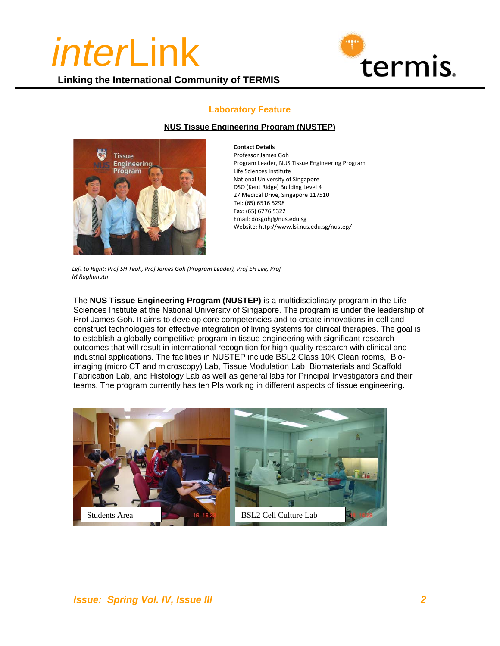

**Linking the International Community of TERMIS**

## **Laboratory Feature**

### **NUS Tissue Engineering Program (NUSTEP)**



**Contact Details** Professor James Goh Program Leader, NUS Tissue Engineering Program Life Sciences Institute National University of Singapore DSO (Kent Ridge) Building Level 4 27 Medical Drive, Singapore 117510 Tel: (65) 6516 5298 Fax: (65) 6776 5322 Email: dosgohj@nus.edu.sg Website: http://www.lsi.nus.edu.sg/nustep*/*

*Left to Right: Prof SH Teoh, Prof James Goh (Program Leader), Prof EH Lee, Prof M Raghunath*

The **NUS Tissue Engineering Program (NUSTEP)** is a multidisciplinary program in the Life Sciences Institute at the National University of Singapore. The program is under the leadership of Prof James Goh. It aims to develop core competencies and to create innovations in cell and construct technologies for effective integration of living systems for clinical therapies. The goal is to establish a globally competitive program in tissue engineering with significant research outcomes that will result in international recognition for high quality research with clinical and industrial applications. The facilities in NUSTEP include BSL2 Class 10K Clean rooms, Bioimaging (micro CT and microscopy) Lab, Tissue Modulation Lab, Biomaterials and Scaffold Fabrication Lab, and Histology Lab as well as general labs for Principal Investigators and their teams. The program currently has ten PIs working in different aspects of tissue engineering.

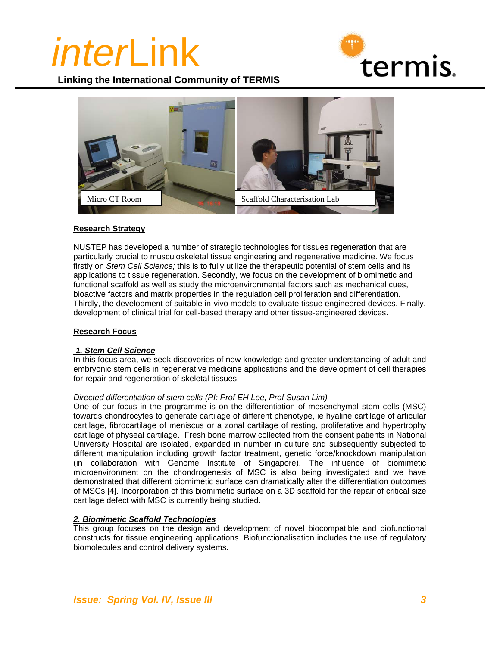

**Linking the International Community of TERMIS**



### **Research Strategy**

NUSTEP has developed a number of strategic technologies for tissues regeneration that are particularly crucial to musculoskeletal tissue engineering and regenerative medicine. We focus firstly on *Stem Cell Science;* this is to fully utilize the therapeutic potential of stem cells and its applications to tissue regeneration. Secondly, we focus on the development of biomimetic and functional scaffold as well as study the microenvironmental factors such as mechanical cues, bioactive factors and matrix properties in the regulation cell proliferation and differentiation. Thirdly, the development of suitable in-vivo models to evaluate tissue engineered devices. Finally, development of clinical trial for cell-based therapy and other tissue-engineered devices.

### **Research Focus**

#### *1. Stem Cell Science*

In this focus area, we seek discoveries of new knowledge and greater understanding of adult and embryonic stem cells in regenerative medicine applications and the development of cell therapies for repair and regeneration of skeletal tissues.

#### *Directed differentiation of stem cells (PI: Prof EH Lee, Prof Susan Lim)*

One of our focus in the programme is on the differentiation of mesenchymal stem cells (MSC) towards chondrocytes to generate cartilage of different phenotype, ie hyaline cartilage of articular cartilage, fibrocartilage of meniscus or a zonal cartilage of resting, proliferative and hypertrophy cartilage of physeal cartilage. Fresh bone marrow collected from the consent patients in National University Hospital are isolated, expanded in number in culture and subsequently subjected to different manipulation including growth factor treatment, genetic force/knockdown manipulation (in collaboration with Genome Institute of Singapore). The influence of biomimetic microenvironment on the chondrogenesis of MSC is also being investigated and we have demonstrated that different biomimetic surface can dramatically alter the differentiation outcomes of MSCs [4]. Incorporation of this biomimetic surface on a 3D scaffold for the repair of critical size cartilage defect with MSC is currently being studied.

#### *2. Biomimetic Scaffold Technologies*

This group focuses on the design and development of novel biocompatible and biofunctional constructs for tissue engineering applications. Biofunctionalisation includes the use of regulatory biomolecules and control delivery systems.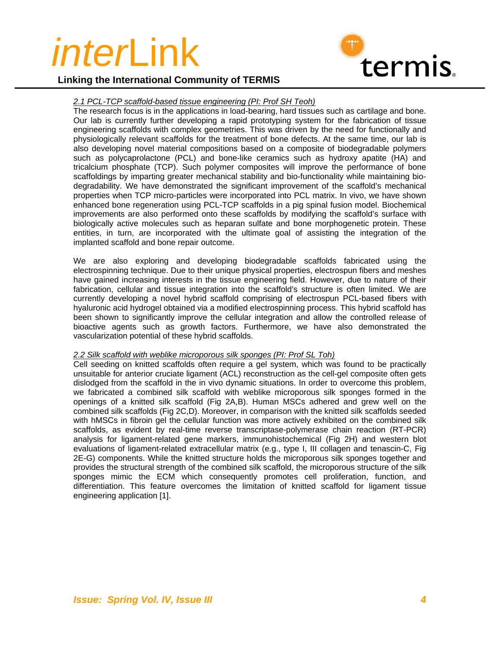

## **Linking the International Community of TERMIS**

## *2.1 PCL-TCP scaffold-based tissue engineering (PI: Prof SH Teoh)*

The research focus is in the applications in load-bearing, hard tissues such as cartilage and bone. Our lab is currently further developing a rapid prototyping system for the fabrication of tissue engineering scaffolds with complex geometries. This was driven by the need for functionally and physiologically relevant scaffolds for the treatment of bone defects. At the same time, our lab is also developing novel material compositions based on a composite of biodegradable polymers such as polycaprolactone (PCL) and bone-like ceramics such as hydroxy apatite (HA) and tricalcium phosphate (TCP). Such polymer composites will improve the performance of bone scaffoldings by imparting greater mechanical stability and bio-functionality while maintaining biodegradability. We have demonstrated the significant improvement of the scaffold's mechanical properties when TCP micro-particles were incorporated into PCL matrix. In vivo, we have shown enhanced bone regeneration using PCL-TCP scaffolds in a pig spinal fusion model. Biochemical improvements are also performed onto these scaffolds by modifying the scaffold's surface with biologically active molecules such as heparan sulfate and bone morphogenetic protein. These entities, in turn, are incorporated with the ultimate goal of assisting the integration of the implanted scaffold and bone repair outcome.

We are also exploring and developing biodegradable scaffolds fabricated using the electrospinning technique. Due to their unique physical properties, electrospun fibers and meshes have gained increasing interests in the tissue engineering field. However, due to nature of their fabrication, cellular and tissue integration into the scaffold's structure is often limited. We are currently developing a novel hybrid scaffold comprising of electrospun PCL-based fibers with hyaluronic acid hydrogel obtained via a modified electrospinning process. This hybrid scaffold has been shown to significantly improve the cellular integration and allow the controlled release of bioactive agents such as growth factors. Furthermore, we have also demonstrated the vascularization potential of these hybrid scaffolds.

#### *2.2 Silk scaffold with weblike microporous silk sponges (PI: Prof SL Toh)*

Cell seeding on knitted scaffolds often require a gel system, which was found to be practically unsuitable for anterior cruciate ligament (ACL) reconstruction as the cell-gel composite often gets dislodged from the scaffold in the in vivo dynamic situations. In order to overcome this problem, we fabricated a combined silk scaffold with weblike microporous silk sponges formed in the openings of a knitted silk scaffold (Fig 2A,B). Human MSCs adhered and grew well on the combined silk scaffolds (Fig 2C,D). Moreover, in comparison with the knitted silk scaffolds seeded with hMSCs in fibroin gel the cellular function was more actively exhibited on the combined silk scaffolds, as evident by real-time reverse transcriptase-polymerase chain reaction (RT-PCR) analysis for ligament-related gene markers, immunohistochemical (Fig 2H) and western blot evaluations of ligament-related extracellular matrix (e.g., type I, III collagen and tenascin-C, Fig 2E-G) components. While the knitted structure holds the microporous silk sponges together and provides the structural strength of the combined silk scaffold, the microporous structure of the silk sponges mimic the ECM which consequently promotes cell proliferation, function, and differentiation. This feature overcomes the limitation of knitted scaffold for ligament tissue engineering application [1].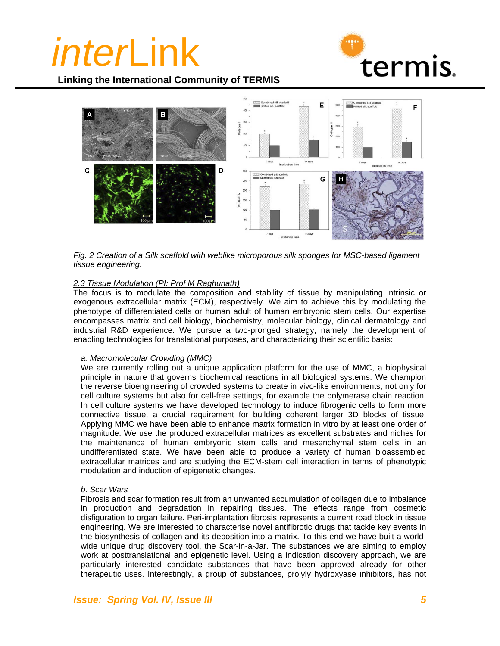

## **Linking the International Community of TERMIS**



*Fig. 2 Creation of a Silk scaffold with weblike microporous silk sponges for MSC-based ligament tissue engineering.* 

#### *2.3 Tissue Modulation (PI: Prof M Raghunath)*

The focus is to modulate the composition and stability of tissue by manipulating intrinsic or exogenous extracellular matrix (ECM), respectively. We aim to achieve this by modulating the phenotype of differentiated cells or human adult of human embryonic stem cells. Our expertise encompasses matrix and cell biology, biochemistry, molecular biology, clinical dermatology and industrial R&D experience. We pursue a two-pronged strategy, namely the development of enabling technologies for translational purposes, and characterizing their scientific basis:

#### *a. Macromolecular Crowding (MMC)*

We are currently rolling out a unique application platform for the use of MMC, a biophysical principle in nature that governs biochemical reactions in all biological systems. We champion the reverse bioengineering of crowded systems to create in vivo-like environments, not only for cell culture systems but also for cell-free settings, for example the polymerase chain reaction. In cell culture systems we have developed technology to induce fibrogenic cells to form more connective tissue, a crucial requirement for building coherent larger 3D blocks of tissue. Applying MMC we have been able to enhance matrix formation in vitro by at least one order of magnitude. We use the produced extracellular matrices as excellent substrates and niches for the maintenance of human embryonic stem cells and mesenchymal stem cells in an undifferentiated state. We have been able to produce a variety of human bioassembled extracellular matrices and are studying the ECM-stem cell interaction in terms of phenotypic modulation and induction of epigenetic changes.

#### *b. Scar Wars*

Fibrosis and scar formation result from an unwanted accumulation of collagen due to imbalance in production and degradation in repairing tissues. The effects range from cosmetic disfiguration to organ failure. Peri-implantation fibrosis represents a current road block in tissue engineering. We are interested to characterise novel antifibrotic drugs that tackle key events in the biosynthesis of collagen and its deposition into a matrix. To this end we have built a worldwide unique drug discovery tool, the Scar-in-a-Jar. The substances we are aiming to employ work at posttranslational and epigenetic level. Using a indication discovery approach, we are particularly interested candidate substances that have been approved already for other therapeutic uses. Interestingly, a group of substances, prolyly hydroxyase inhibitors, has not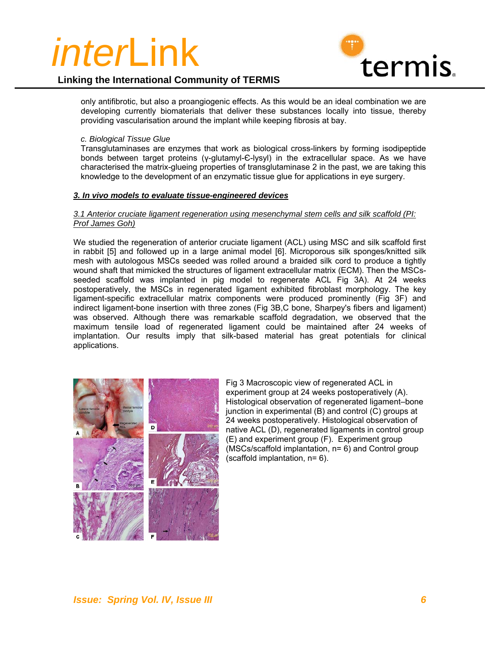



only antifibrotic, but also a proangiogenic effects. As this would be an ideal combination we are developing currently biomaterials that deliver these substances locally into tissue, thereby providing vascularisation around the implant while keeping fibrosis at bay.

#### *c. Biological Tissue Glue*

Transglutaminases are enzymes that work as biological cross-linkers by forming isodipeptide bonds between target proteins (γ-glutamyl-Є-lysyl) in the extracellular space. As we have characterised the matrix-glueing properties of transglutaminase 2 in the past, we are taking this knowledge to the development of an enzymatic tissue glue for applications in eye surgery.

#### *3. In vivo models to evaluate tissue-engineered devices*

#### *3.1 Anterior cruciate ligament regeneration using mesenchymal stem cells and silk scaffold (PI: Prof James Goh)*

We studied the regeneration of anterior cruciate ligament (ACL) using MSC and silk scaffold first in rabbit [5] and followed up in a large animal model [6]. Microporous silk sponges/knitted silk mesh with autologous MSCs seeded was rolled around a braided silk cord to produce a tightly wound shaft that mimicked the structures of ligament extracellular matrix (ECM). Then the MSCsseeded scaffold was implanted in pig model to regenerate ACL Fig 3A). At 24 weeks postoperatively, the MSCs in regenerated ligament exhibited fibroblast morphology. The key ligament-specific extracellular matrix components were produced prominently (Fig 3F) and indirect ligament-bone insertion with three zones (Fig 3B,C bone, Sharpey's fibers and ligament) was observed. Although there was remarkable scaffold degradation, we observed that the maximum tensile load of regenerated ligament could be maintained after 24 weeks of implantation. Our results imply that silk-based material has great potentials for clinical applications.



Fig 3 Macroscopic view of regenerated ACL in experiment group at 24 weeks postoperatively (A). Histological observation of regenerated ligament–bone junction in experimental (B) and control (C) groups at 24 weeks postoperatively. Histological observation of native ACL (D), regenerated ligaments in control group (E) and experiment group (F). Experiment group (MSCs/scaffold implantation, n= 6) and Control group (scaffold implantation, n= 6).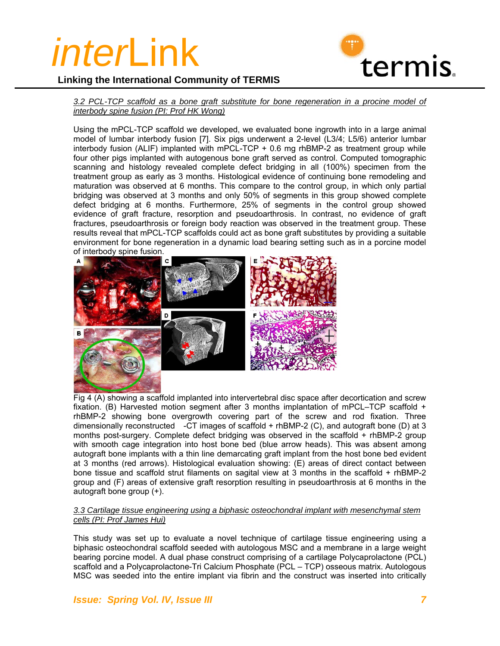

## **Linking the International Community of TERMIS**

#### *3.2 PCL-TCP scaffold as a bone graft substitute for bone regeneration in a procine model of interbody spine fusion (PI: Prof HK Wong)*

Using the mPCL-TCP scaffold we developed, we evaluated bone ingrowth into in a large animal model of lumbar interbody fusion [7]. Six pigs underwent a 2-level (L3/4; L5/6) anterior lumbar interbody fusion (ALIF) implanted with mPCL-TCP + 0.6 mg rhBMP-2 as treatment group while four other pigs implanted with autogenous bone graft served as control. Computed tomographic scanning and histology revealed complete defect bridging in all (100%) specimen from the treatment group as early as 3 months. Histological evidence of continuing bone remodeling and maturation was observed at 6 months. This compare to the control group, in which only partial bridging was observed at 3 months and only 50% of segments in this group showed complete defect bridging at 6 months. Furthermore, 25% of segments in the control group showed evidence of graft fracture, resorption and pseudoarthrosis. In contrast, no evidence of graft fractures, pseudoarthrosis or foreign body reaction was observed in the treatment group. These results reveal that mPCL-TCP scaffolds could act as bone graft substitutes by providing a suitable environment for bone regeneration in a dynamic load bearing setting such as in a porcine model of interbody spine fusion.



Fig 4 (A) showing a scaffold implanted into intervertebral disc space after decortication and screw fixation. (B) Harvested motion segment after 3 months implantation of mPCL–TCP scaffold + rhBMP-2 showing bone overgrowth covering part of the screw and rod fixation. Three dimensionally reconstructed -CT images of scaffold + rhBMP-2 (C), and autograft bone (D) at 3 months post-surgery. Complete defect bridging was observed in the scaffold + rhBMP-2 group with smooth cage integration into host bone bed (blue arrow heads). This was absent among autograft bone implants with a thin line demarcating graft implant from the host bone bed evident at 3 months (red arrows). Histological evaluation showing: (E) areas of direct contact between bone tissue and scaffold strut filaments on sagital view at 3 months in the scaffold + rhBMP-2 group and (F) areas of extensive graft resorption resulting in pseudoarthrosis at 6 months in the autograft bone group (+).

#### *3.3 Cartilage tissue engineering using a biphasic osteochondral implant with mesenchymal stem cells (PI: Prof James Hui)*

This study was set up to evaluate a novel technique of cartilage tissue engineering using a biphasic osteochondral scaffold seeded with autologous MSC and a membrane in a large weight bearing porcine model. A dual phase construct comprising of a cartilage Polycaprolactone (PCL) scaffold and a Polycaprolactone-Tri Calcium Phosphate (PCL – TCP) osseous matrix. Autologous MSC was seeded into the entire implant via fibrin and the construct was inserted into critically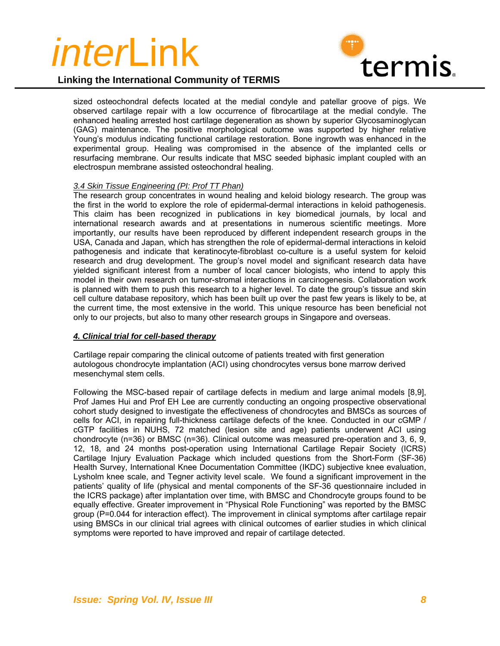

## **Linking the International Community of TERMIS**

sized osteochondral defects located at the medial condyle and patellar groove of pigs. We observed cartilage repair with a low occurrence of fibrocartilage at the medial condyle. The enhanced healing arrested host cartilage degeneration as shown by superior Glycosaminoglycan (GAG) maintenance. The positive morphological outcome was supported by higher relative Young's modulus indicating functional cartilage restoration. Bone ingrowth was enhanced in the experimental group. Healing was compromised in the absence of the implanted cells or resurfacing membrane. Our results indicate that MSC seeded biphasic implant coupled with an electrospun membrane assisted osteochondral healing.

#### *3.4 Skin Tissue Engineering (PI: Prof TT Phan)*

The research group concentrates in wound healing and keloid biology research. The group was the first in the world to explore the role of epidermal-dermal interactions in keloid pathogenesis. This claim has been recognized in publications in key biomedical journals, by local and international research awards and at presentations in numerous scientific meetings. More importantly, our results have been reproduced by different independent research groups in the USA, Canada and Japan, which has strengthen the role of epidermal-dermal interactions in keloid pathogenesis and indicate that keratinocyte-fibroblast co-culture is a useful system for keloid research and drug development. The group's novel model and significant research data have yielded significant interest from a number of local cancer biologists, who intend to apply this model in their own research on tumor-stromal interactions in carcinogenesis. Collaboration work is planned with them to push this research to a higher level. To date the group's tissue and skin cell culture database repository, which has been built up over the past few years is likely to be, at the current time, the most extensive in the world. This unique resource has been beneficial not only to our projects, but also to many other research groups in Singapore and overseas.

#### *4. Clinical trial for cell-based therapy*

Cartilage repair comparing the clinical outcome of patients treated with first generation autologous chondrocyte implantation (ACI) using chondrocytes versus bone marrow derived mesenchymal stem cells.

Following the MSC-based repair of cartilage defects in medium and large animal models [8,9], Prof James Hui and Prof EH Lee are currently conducting an ongoing prospective observational cohort study designed to investigate the effectiveness of chondrocytes and BMSCs as sources of cells for ACI, in repairing full-thickness cartilage defects of the knee. Conducted in our cGMP / cGTP facilities in NUHS, 72 matched (lesion site and age) patients underwent ACI using chondrocyte (n=36) or BMSC (n=36). Clinical outcome was measured pre-operation and 3, 6, 9, 12, 18, and 24 months post-operation using International Cartilage Repair Society (ICRS) Cartilage Injury Evaluation Package which included questions from the Short-Form (SF-36) Health Survey, International Knee Documentation Committee (IKDC) subjective knee evaluation, Lysholm knee scale, and Tegner activity level scale. We found a significant improvement in the patients' quality of life (physical and mental components of the SF-36 questionnaire included in the ICRS package) after implantation over time, with BMSC and Chondrocyte groups found to be equally effective. Greater improvement in "Physical Role Functioning" was reported by the BMSC group (P=0.044 for interaction effect). The improvement in clinical symptoms after cartilage repair using BMSCs in our clinical trial agrees with clinical outcomes of earlier studies in which clinical symptoms were reported to have improved and repair of cartilage detected.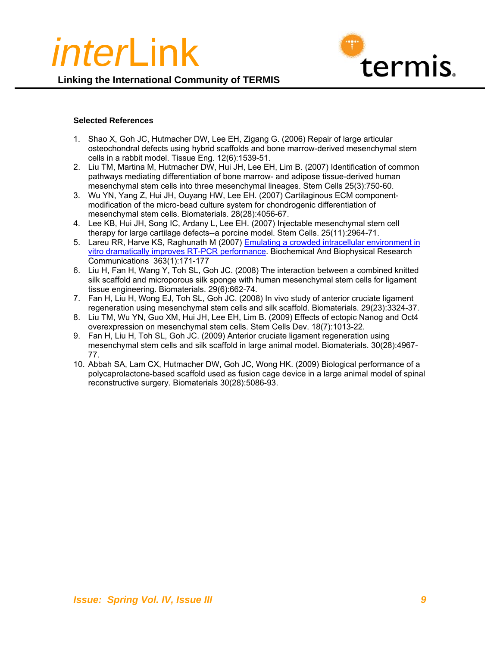



#### **Selected References**

- 1. Shao X, Goh JC, Hutmacher DW, Lee EH, Zigang G. (2006) Repair of large articular osteochondral defects using hybrid scaffolds and bone marrow-derived mesenchymal stem cells in a rabbit model. Tissue Eng. 12(6):1539-51.
- 2. Liu TM, Martina M, Hutmacher DW, Hui JH, Lee EH, Lim B. (2007) Identification of common pathways mediating differentiation of bone marrow- and adipose tissue-derived human mesenchymal stem cells into three mesenchymal lineages. Stem Cells 25(3):750-60.
- 3. Wu YN, Yang Z, Hui JH, Ouyang HW, Lee EH. (2007) Cartilaginous ECM componentmodification of the micro-bead culture system for chondrogenic differentiation of mesenchymal stem cells. Biomaterials. 28(28):4056-67.
- 4. Lee KB, Hui JH, Song IC, Ardany L, Lee EH. (2007) Injectable mesenchymal stem cell therapy for large cartilage defects--a porcine model. Stem Cells. 25(11):2964-71.
- 5. Lareu RR, Harve KS, Raghunath M (2007) Emulating a crowded intracellular environment in vitro dramatically improves RT-PCR performance. Biochemical And Biophysical Research Communications 363(1):171-177
- 6. Liu H, Fan H, Wang Y, Toh SL, Goh JC. (2008) The interaction between a combined knitted silk scaffold and microporous silk sponge with human mesenchymal stem cells for ligament tissue engineering. Biomaterials. 29(6):662-74.
- 7. Fan H, Liu H, Wong EJ, Toh SL, Goh JC. (2008) In vivo study of anterior cruciate ligament regeneration using mesenchymal stem cells and silk scaffold. Biomaterials. 29(23):3324-37.
- 8. Liu TM, Wu YN, Guo XM, Hui JH, Lee EH, Lim B. (2009) Effects of ectopic Nanog and Oct4 overexpression on mesenchymal stem cells. Stem Cells Dev. 18(7):1013-22.
- 9. Fan H, Liu H, Toh SL, Goh JC. (2009) Anterior cruciate ligament regeneration using mesenchymal stem cells and silk scaffold in large animal model. Biomaterials. 30(28):4967- 77.
- 10. Abbah SA, Lam CX, Hutmacher DW, Goh JC, Wong HK. (2009) Biological performance of a polycaprolactone-based scaffold used as fusion cage device in a large animal model of spinal reconstructive surgery. Biomaterials 30(28):5086-93.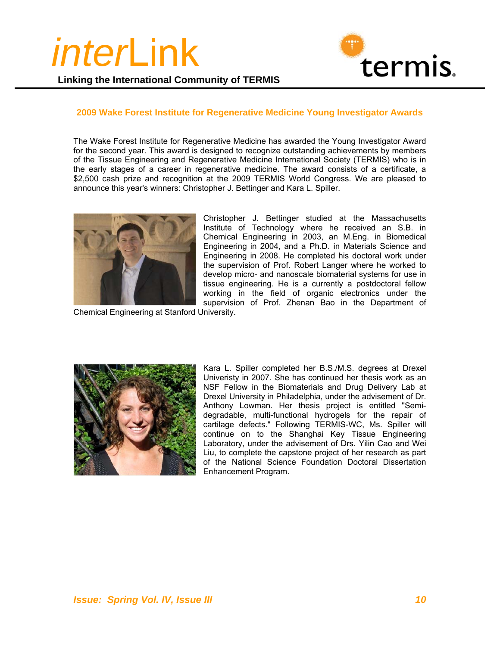



### **2009 Wake Forest Institute for Regenerative Medicine Young Investigator Awards**

The Wake Forest Institute for Regenerative Medicine has awarded the Young Investigator Award for the second year. This award is designed to recognize outstanding achievements by members of the Tissue Engineering and Regenerative Medicine International Society (TERMIS) who is in the early stages of a career in regenerative medicine. The award consists of a certificate, a \$2,500 cash prize and recognition at the 2009 TERMIS World Congress. We are pleased to announce this year's winners: Christopher J. Bettinger and Kara L. Spiller.



Christopher J. Bettinger studied at the Massachusetts Institute of Technology where he received an S.B. in Chemical Engineering in 2003, an M.Eng. in Biomedical Engineering in 2004, and a Ph.D. in Materials Science and Engineering in 2008. He completed his doctoral work under the supervision of Prof. Robert Langer where he worked to develop micro- and nanoscale biomaterial systems for use in tissue engineering. He is a currently a postdoctoral fellow working in the field of organic electronics under the supervision of Prof. Zhenan Bao in the Department of

Chemical Engineering at Stanford University.



Kara L. Spiller completed her B.S./M.S. degrees at Drexel Univeristy in 2007. She has continued her thesis work as an NSF Fellow in the Biomaterials and Drug Delivery Lab at Drexel University in Philadelphia, under the advisement of Dr. Anthony Lowman. Her thesis project is entitled "Semidegradable, multi-functional hydrogels for the repair of cartilage defects." Following TERMIS-WC, Ms. Spiller will continue on to the Shanghai Key Tissue Engineering Laboratory, under the advisement of Drs. Yilin Cao and Wei Liu, to complete the capstone project of her research as part of the National Science Foundation Doctoral Dissertation Enhancement Program.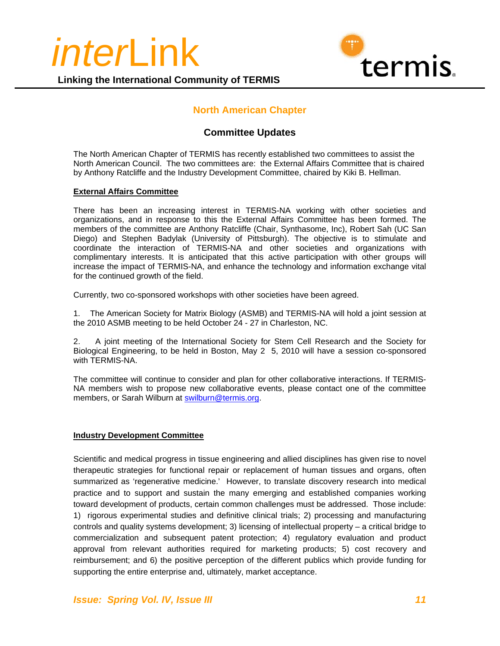



## **North American Chapter**

## **Committee Updates**

The North American Chapter of TERMIS has recently established two committees to assist the North American Council. The two committees are: the External Affairs Committee that is chaired by Anthony Ratcliffe and the Industry Development Committee, chaired by Kiki B. Hellman.

#### **External Affairs Committee**

There has been an increasing interest in TERMIS-NA working with other societies and organizations, and in response to this the External Affairs Committee has been formed. The members of the committee are Anthony Ratcliffe (Chair, Synthasome, Inc), Robert Sah (UC San Diego) and Stephen Badylak (University of Pittsburgh). The objective is to stimulate and coordinate the interaction of TERMIS-NA and other societies and organizations with complimentary interests. It is anticipated that this active participation with other groups will increase the impact of TERMIS-NA, and enhance the technology and information exchange vital for the continued growth of the field.

Currently, two co-sponsored workshops with other societies have been agreed.

1. The American Society for Matrix Biology (ASMB) and TERMIS-NA will hold a joint session at the 2010 ASMB meeting to be held October 24 - 27 in Charleston, NC.

2. A joint meeting of the International Society for Stem Cell Research and the Society for Biological Engineering, to be held in Boston, May 2 5, 2010 will have a session co-sponsored with TERMIS-NA.

The committee will continue to consider and plan for other collaborative interactions. If TERMIS-NA members wish to propose new collaborative events, please contact one of the committee members, or Sarah Wilburn at swilburn@termis.org.

### **Industry Development Committee**

Scientific and medical progress in tissue engineering and allied disciplines has given rise to novel therapeutic strategies for functional repair or replacement of human tissues and organs, often summarized as 'regenerative medicine.' However, to translate discovery research into medical practice and to support and sustain the many emerging and established companies working toward development of products, certain common challenges must be addressed. Those include: 1) rigorous experimental studies and definitive clinical trials; 2) processing and manufacturing controls and quality systems development; 3) licensing of intellectual property – a critical bridge to commercialization and subsequent patent protection; 4) regulatory evaluation and product approval from relevant authorities required for marketing products; 5) cost recovery and reimbursement; and 6) the positive perception of the different publics which provide funding for supporting the entire enterprise and, ultimately, market acceptance.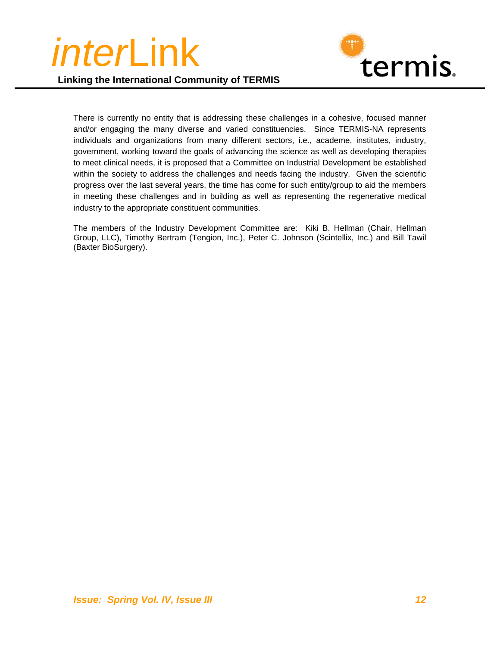



There is currently no entity that is addressing these challenges in a cohesive, focused manner and/or engaging the many diverse and varied constituencies. Since TERMIS-NA represents individuals and organizations from many different sectors, i.e., academe, institutes, industry, government, working toward the goals of advancing the science as well as developing therapies to meet clinical needs, it is proposed that a Committee on Industrial Development be established within the society to address the challenges and needs facing the industry. Given the scientific progress over the last several years, the time has come for such entity/group to aid the members in meeting these challenges and in building as well as representing the regenerative medical industry to the appropriate constituent communities.

The members of the Industry Development Committee are: Kiki B. Hellman (Chair, Hellman Group, LLC), Timothy Bertram (Tengion, Inc.), Peter C. Johnson (Scintellix, Inc.) and Bill Tawil (Baxter BioSurgery).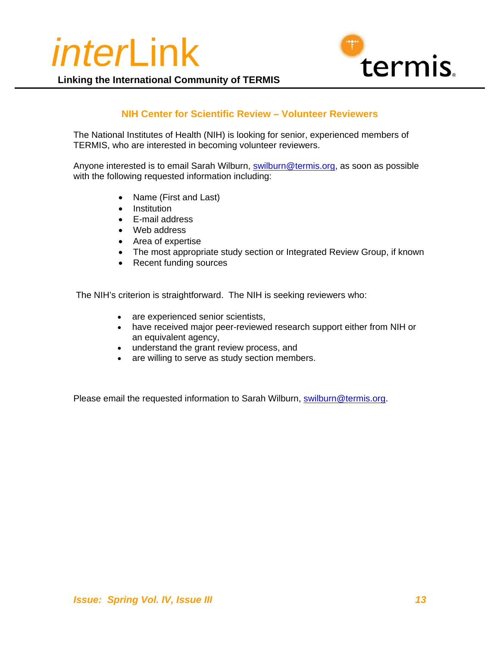



## **NIH Center for Scientific Review – Volunteer Reviewers**

The National Institutes of Health (NIH) is looking for senior, experienced members of TERMIS, who are interested in becoming volunteer reviewers.

Anyone interested is to email Sarah Wilburn, swilburn@termis.org, as soon as possible with the following requested information including:

- Name (First and Last)
- Institution
- E-mail address
- Web address
- Area of expertise
- The most appropriate study section or Integrated Review Group, if known
- Recent funding sources

The NIH's criterion is straightforward. The NIH is seeking reviewers who:

- are experienced senior scientists,
- have received major peer-reviewed research support either from NIH or an equivalent agency,
- understand the grant review process, and
- are willing to serve as study section members.

Please email the requested information to Sarah Wilburn, swilburn@termis.org.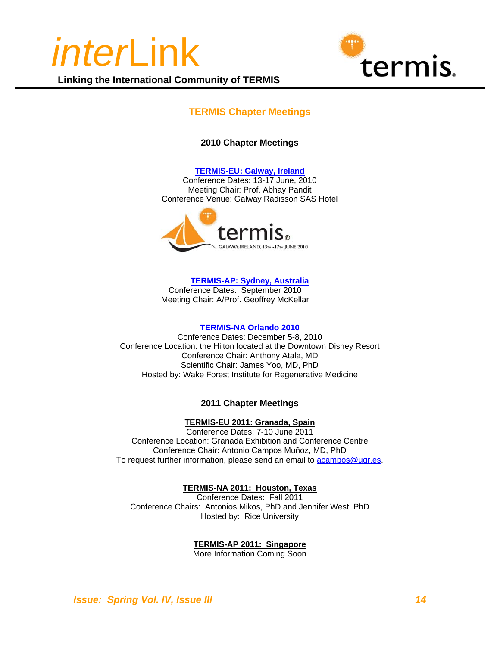



## **TERMIS Chapter Meetings**

## **2010 Chapter Meetings**

#### **TERMIS-EU: Galway, Ireland**

Conference Dates: 13-17 June, 2010 Meeting Chair: Prof. Abhay Pandit Conference Venue: Galway Radisson SAS Hotel



**TERMIS-AP: Sydney, Australia**

Conference Dates: September 2010 Meeting Chair: A/Prof. Geoffrey McKellar

### **TERMIS-NA Orlando 2010**

Conference Dates: December 5-8, 2010 Conference Location: the Hilton located at the Downtown Disney Resort Conference Chair: Anthony Atala, MD Scientific Chair: James Yoo, MD, PhD Hosted by: Wake Forest Institute for Regenerative Medicine

### **2011 Chapter Meetings**

**TERMIS-EU 2011: Granada, Spain**

Conference Dates: 7-10 June 2011 Conference Location: Granada Exhibition and Conference Centre Conference Chair: Antonio Campos Muñoz, MD, PhD To request further information, please send an email to acampos@ugr.es.

### **TERMIS-NA 2011: Houston, Texas**

Conference Dates: Fall 2011 Conference Chairs: Antonios Mikos, PhD and Jennifer West, PhD Hosted by: Rice University

### **TERMIS-AP 2011: Singapore**

More Information Coming Soon

*Issue: Spring Vol. IV, Issue III* 14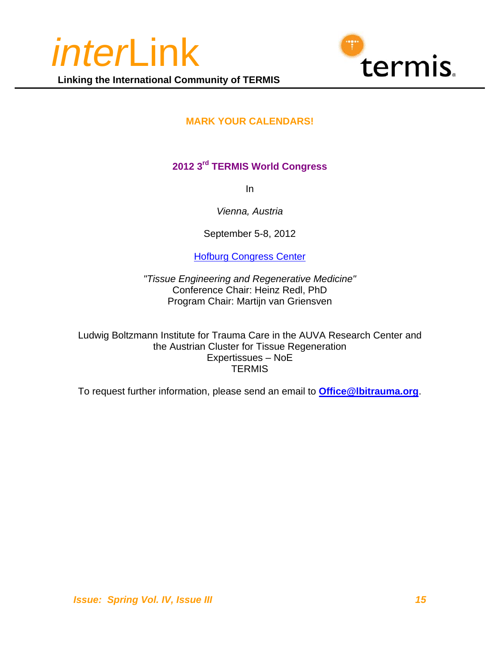



# **MARK YOUR CALENDARS!**

# **2012 3rd TERMIS World Congress**

In

*Vienna, Austria* 

September 5-8, 2012

Hofburg Congress Center

*"Tissue Engineering and Regenerative Medicine"* Conference Chair: Heinz Redl, PhD Program Chair: Martijn van Griensven

Ludwig Boltzmann Institute for Trauma Care in the AUVA Research Center and the Austrian Cluster for Tissue Regeneration Expertissues – NoE **TERMIS** 

To request further information, please send an email to **Office@lbitrauma.org**.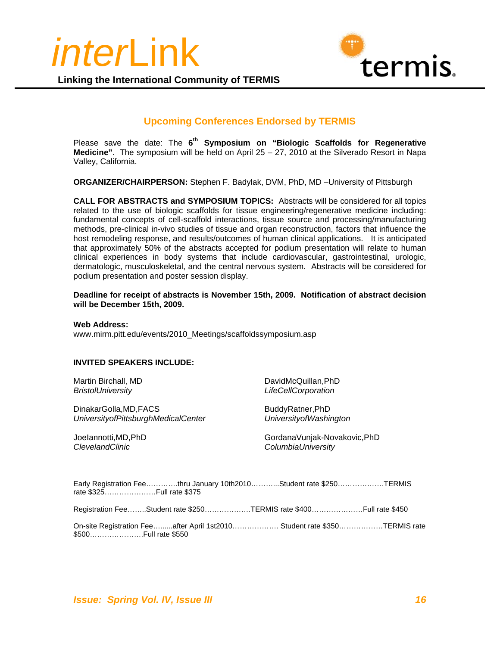



## **Upcoming Conferences Endorsed by TERMIS**

Please save the date: The **6th Symposium on "Biologic Scaffolds for Regenerative Medicine"**. The symposium will be held on April 25 – 27, 2010 at the Silverado Resort in Napa Valley, California.

**ORGANIZER/CHAIRPERSON:** Stephen F. Badylak, DVM, PhD, MD –University of Pittsburgh

**CALL FOR ABSTRACTS and SYMPOSIUM TOPICS:** Abstracts will be considered for all topics related to the use of biologic scaffolds for tissue engineering/regenerative medicine including: fundamental concepts of cell-scaffold interactions, tissue source and processing/manufacturing methods, pre-clinical in-vivo studies of tissue and organ reconstruction, factors that influence the host remodeling response, and results/outcomes of human clinical applications. It is anticipated that approximately 50% of the abstracts accepted for podium presentation will relate to human clinical experiences in body systems that include cardiovascular, gastrointestinal, urologic, dermatologic, musculoskeletal, and the central nervous system. Abstracts will be considered for podium presentation and poster session display.

**Deadline for receipt of abstracts is November 15th, 2009. Notification of abstract decision will be December 15th, 2009.**

**Web Address:** 

www.mirm.pitt.edu/events/2010\_Meetings/scaffoldssymposium.asp

#### **INVITED SPEAKERS INCLUDE:**

Martin Birchall, MD *BristolUniversity*

DinakarGolla,MD,FACS *UniversityofPittsburghMedicalCenter*

JoeIannotti,MD,PhD *ClevelandClinic*

DavidMcQuillan,PhD *LifeCellCorporation*

BuddyRatner,PhD *UniversityofWashington*

GordanaVunjak-Novakovic,PhD *ColumbiaUniversity*

|                      | Early Registration Feethru January 10th2010Student rate \$250TERMIS       |  |
|----------------------|---------------------------------------------------------------------------|--|
|                      | Registration FeeStudent rate \$250TERMIS rate \$400Full rate \$450        |  |
| \$500Full rate \$550 | On-site Registration Feeafter April 1st2010 Student rate \$350TERMIS rate |  |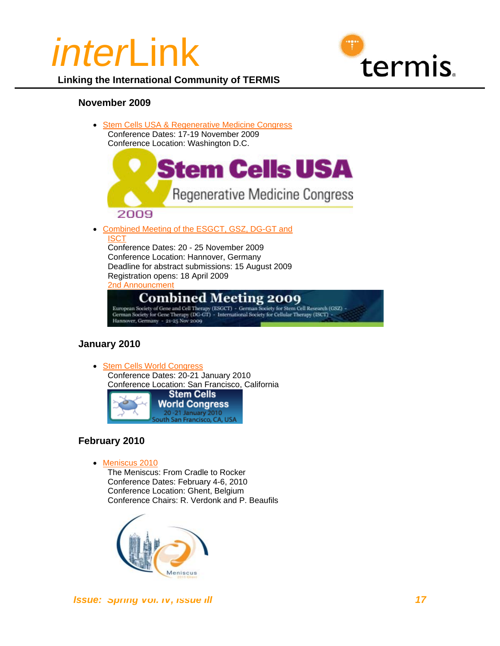

**Linking the International Community of TERMIS**

## **November 2009**

• Stem Cells USA & Regenerative Medicine Congress Conference Dates: 17-19 November 2009 Conference Location: Washington D.C.



2009

• Combined Meeting of the ESGCT, GSZ, DG-GT and ISCT

Conference Dates: 20 - 25 November 2009 Conference Location: Hannover, Germany Deadline for abstract submissions: 15 August 2009 Registration opens: 18 April 2009 2nd Announcmen

**Combined Meeting 2009** 

European Society of Gene and Cell Therapy (ESGCT) - German Society for Stem Cell Research (GSZ) -German Society for Gene Therapy (DG-GT) - International Society for Cellular Therapy (ISCT) Hannover, Germany - 21-25 Nov 2009

## **January 2010**

• Stem Cells World Congress Conference Dates: 20-21 January 2010 Conference Location: San Francisco, California



## **February 2010**

• Meniscus 2010

The Meniscus: From Cradle to Rocker Conference Dates: February 4-6, 2010 Conference Location: Ghent, Belgium Conference Chairs: R. Verdonk and P. Beaufils



*<i>Issue: Spring Vol. IV, ISSUe III 17 II* 17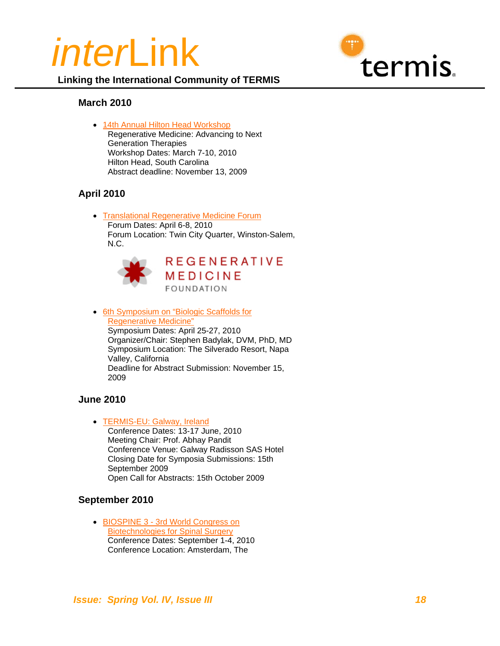

**Linking the International Community of TERMIS**

## **March 2010**

• 14th Annual Hilton Head Workshop Regenerative Medicine: Advancing to Next Generation Therapies Workshop Dates: March 7-10, 2010 Hilton Head, South Carolina Abstract deadline: November 13, 2009

## **April 2010**

• Translational Regenerative Medicine Forum Forum Dates: April 6-8, 2010 Forum Location: Twin City Quarter, Winston-Salem, N.C.



• 6th Symposium on "Biologic Scaffolds for Regenerative Medicine" Symposium Dates: April 25-27, 2010 Organizer/Chair: Stephen Badylak, DVM, PhD, MD Symposium Location: The Silverado Resort, Napa Valley, California Deadline for Abstract Submission: November 15, 2009

## **June 2010**

• TERMIS-EU: Galway, Ireland

Conference Dates: 13-17 June, 2010 Meeting Chair: Prof. Abhay Pandit Conference Venue: Galway Radisson SAS Hotel Closing Date for Symposia Submissions: 15th September 2009 Open Call for Abstracts: 15th October 2009

## **September 2010**

• BIOSPINE 3 - 3rd World Congress on Biotechnologies for Spinal Surgery Conference Dates: September 1-4, 2010 Conference Location: Amsterdam, The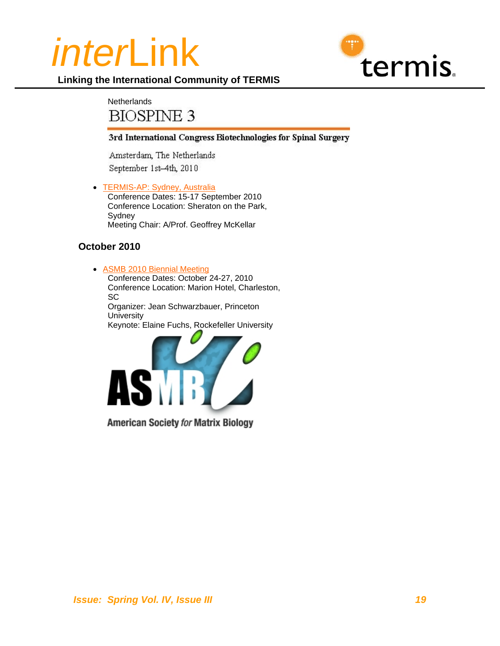

# **Linking the International Community of TERMIS**

# **Netherlands BIOSPINE 3**

## 3rd International Congress Biotechnologies for Spinal Surgery

Amsterdam, The Netherlands September 1st-4th, 2010

• TERMIS-AP: Sydney, Australia Conference Dates: 15-17 September 2010 Conference Location: Sheraton on the Park, Sydney Meeting Chair: A/Prof. Geoffrey McKellar

## **October 2010**

• ASMB 2010 Biennial Meeting

Conference Dates: October 24-27, 2010 Conference Location: Marion Hotel, Charleston, SC Organizer: Jean Schwarzbauer, Princeton **University** 

Keynote: Elaine Fuchs, Rockefeller University



**American Society for Matrix Biology**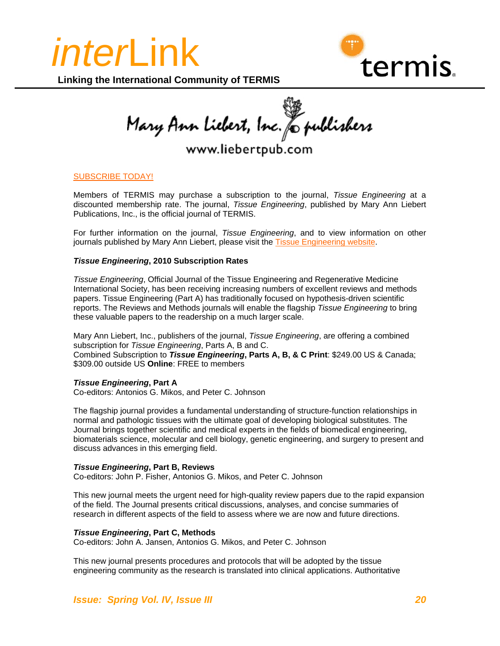



Mary Ann Liebert, Inc. & publishers

www.liebertpub.com

#### SUBSCRIBE TODAY!

Members of TERMIS may purchase a subscription to the journal, *Tissue Engineering* at a discounted membership rate. The journal, *Tissue Engineering*, published by Mary Ann Liebert Publications, Inc., is the official journal of TERMIS.

For further information on the journal, *Tissue Engineering*, and to view information on other journals published by Mary Ann Liebert, please visit the Tissue Engineering website.

#### *Tissue Engineering***, 2010 Subscription Rates**

*Tissue Engineering*, Official Journal of the Tissue Engineering and Regenerative Medicine International Society, has been receiving increasing numbers of excellent reviews and methods papers. Tissue Engineering (Part A) has traditionally focused on hypothesis-driven scientific reports. The Reviews and Methods journals will enable the flagship *Tissue Engineering* to bring these valuable papers to the readership on a much larger scale.

Mary Ann Liebert, Inc., publishers of the journal, *Tissue Engineering*, are offering a combined subscription for *Tissue Engineering*, Parts A, B and C. Combined Subscription to *Tissue Engineering***, Parts A, B, & C Print**: \$249.00 US & Canada; \$309.00 outside US **Online**: FREE to members

#### *Tissue Engineering***, Part A**

Co-editors: Antonios G. Mikos, and Peter C. Johnson

The flagship journal provides a fundamental understanding of structure-function relationships in normal and pathologic tissues with the ultimate goal of developing biological substitutes. The Journal brings together scientific and medical experts in the fields of biomedical engineering, biomaterials science, molecular and cell biology, genetic engineering, and surgery to present and discuss advances in this emerging field.

#### *Tissue Engineering***, Part B, Reviews**

Co-editors: John P. Fisher, Antonios G. Mikos, and Peter C. Johnson

This new journal meets the urgent need for high-quality review papers due to the rapid expansion of the field. The Journal presents critical discussions, analyses, and concise summaries of research in different aspects of the field to assess where we are now and future directions.

#### *Tissue Engineering***, Part C, Methods**

Co-editors: John A. Jansen, Antonios G. Mikos, and Peter C. Johnson

This new journal presents procedures and protocols that will be adopted by the tissue engineering community as the research is translated into clinical applications. Authoritative